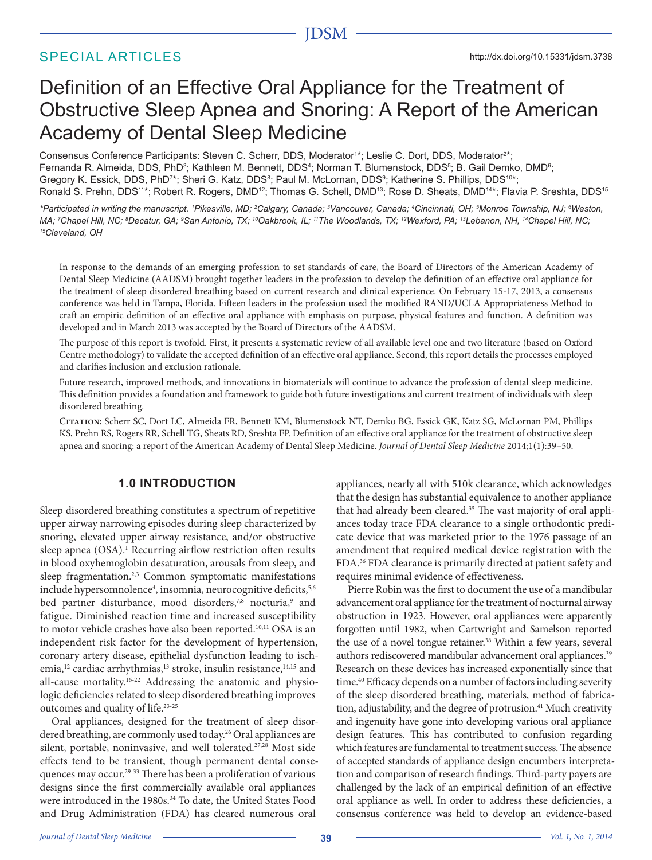## JDSM

## SPECIAL ARTICLES

# Definition of an Effective Oral Appliance for the Treatment of Obstructive Sleep Apnea and Snoring: A Report of the American Academy of Dental Sleep Medicine

Consensus Conference Participants: Steven C. Scherr, DDS, Moderator<sup>1\*</sup>; Leslie C. Dort, DDS, Moderator<sup>2\*</sup>; Fernanda R. Almeida, DDS, PhD<sup>3</sup>; Kathleen M. Bennett, DDS<sup>4</sup>; Norman T. Blumenstock, DDS<sup>5</sup>; B. Gail Demko, DMD<sup>6</sup>; Gregory K. Essick, DDS, PhD<sup>7\*</sup>; Sheri G. Katz, DDS<sup>8</sup>; Paul M. McLornan, DDS<sup>9</sup>; Katherine S. Phillips, DDS<sup>10\*</sup>; Ronald S. Prehn, DDS<sup>11\*</sup>; Robert R. Rogers, DMD<sup>12</sup>; Thomas G. Schell, DMD<sup>13</sup>; Rose D. Sheats, DMD<sup>14\*</sup>; Flavia P. Sreshta, DDS<sup>15</sup>

*\*Participated in writing the manuscript. 1 Pikesville, MD; 2 Calgary, Canada; 3 Vancouver, Canada; 4 Cincinnati, OH; 5 Monroe Township, NJ; 6 Weston, MA; 7 Chapel Hill, NC; 8 Decatur, GA; 9 San Antonio, TX; 10Oakbrook, IL; 11The Woodlands, TX; 12Wexford, PA; 13Lebanon, NH, 14Chapel Hill, NC; 15Cleveland, OH*

In response to the demands of an emerging profession to set standards of care, the Board of Directors of the American Academy of Dental Sleep Medicine (AADSM) brought together leaders in the profession to develop the definition of an effective oral appliance for the treatment of sleep disordered breathing based on current research and clinical experience. On February 15-17, 2013, a consensus conference was held in Tampa, Florida. Fifteen leaders in the profession used the modified RAND/UCLA Appropriateness Method to craft an empiric definition of an effective oral appliance with emphasis on purpose, physical features and function. A definition was developed and in March 2013 was accepted by the Board of Directors of the AADSM.

The purpose of this report is twofold. First, it presents a systematic review of all available level one and two literature (based on Oxford Centre methodology) to validate the accepted definition of an effective oral appliance. Second, this report details the processes employed and clarifies inclusion and exclusion rationale.

Future research, improved methods, and innovations in biomaterials will continue to advance the profession of dental sleep medicine. This definition provides a foundation and framework to guide both future investigations and current treatment of individuals with sleep disordered breathing.

**Citation:** Scherr SC, Dort LC, Almeida FR, Bennett KM, Blumenstock NT, Demko BG, Essick GK, Katz SG, McLornan PM, Phillips KS, Prehn RS, Rogers RR, Schell TG, Sheats RD, Sreshta FP. Definition of an effective oral appliance for the treatment of obstructive sleep apnea and snoring: a report of the American Academy of Dental Sleep Medicine. *Journal of Dental Sleep Medicine* 2014;1(1):39–50.

## **1.0 INTRODUCTION**

Sleep disordered breathing constitutes a spectrum of repetitive upper airway narrowing episodes during sleep characterized by snoring, elevated upper airway resistance, and/or obstructive sleep apnea (OSA).<sup>1</sup> Recurring airflow restriction often results in blood oxyhemoglobin desaturation, arousals from sleep, and sleep fragmentation.<sup>2,3</sup> Common symptomatic manifestations include hypersomnolence<sup>4</sup>, insomnia, neurocognitive deficits, 5,6 bed partner disturbance, mood disorders,<sup>7,8</sup> nocturia,<sup>9</sup> and fatigue. Diminished reaction time and increased susceptibility to motor vehicle crashes have also been reported.<sup>10,11</sup> OSA is an independent risk factor for the development of hypertension, coronary artery disease, epithelial dysfunction leading to ischemia,<sup>12</sup> cardiac arrhythmias,<sup>13</sup> stroke, insulin resistance,<sup>14,15</sup> and all-cause mortality.16-22 Addressing the anatomic and physiologic deficiencies related to sleep disordered breathing improves outcomes and quality of life.23-25

Oral appliances, designed for the treatment of sleep disordered breathing, are commonly used today.<sup>26</sup> Oral appliances are silent, portable, noninvasive, and well tolerated.<sup>27,28</sup> Most side effects tend to be transient, though permanent dental consequences may occur.29-33 There has been a proliferation of various designs since the first commercially available oral appliances were introduced in the 1980s.<sup>34</sup> To date, the United States Food and Drug Administration (FDA) has cleared numerous oral

appliances, nearly all with 510k clearance, which acknowledges that the design has substantial equivalence to another appliance that had already been cleared.<sup>35</sup> The vast majority of oral appliances today trace FDA clearance to a single orthodontic predicate device that was marketed prior to the 1976 passage of an amendment that required medical device registration with the FDA.36 FDA clearance is primarily directed at patient safety and requires minimal evidence of effectiveness.

Pierre Robin was the first to document the use of a mandibular advancement oral appliance for the treatment of nocturnal airway obstruction in 1923. However, oral appliances were apparently forgotten until 1982, when Cartwright and Samelson reported the use of a novel tongue retainer.<sup>38</sup> Within a few years, several authors rediscovered mandibular advancement oral appliances.<sup>39</sup> Research on these devices has increased exponentially since that time.40 Efficacy depends on a number of factors including severity of the sleep disordered breathing, materials, method of fabrication, adjustability, and the degree of protrusion.<sup>41</sup> Much creativity and ingenuity have gone into developing various oral appliance design features. This has contributed to confusion regarding which features are fundamental to treatment success. The absence of accepted standards of appliance design encumbers interpretation and comparison of research findings. Third-party payers are challenged by the lack of an empirical definition of an effective oral appliance as well. In order to address these deficiencies, a consensus conference was held to develop an evidence-based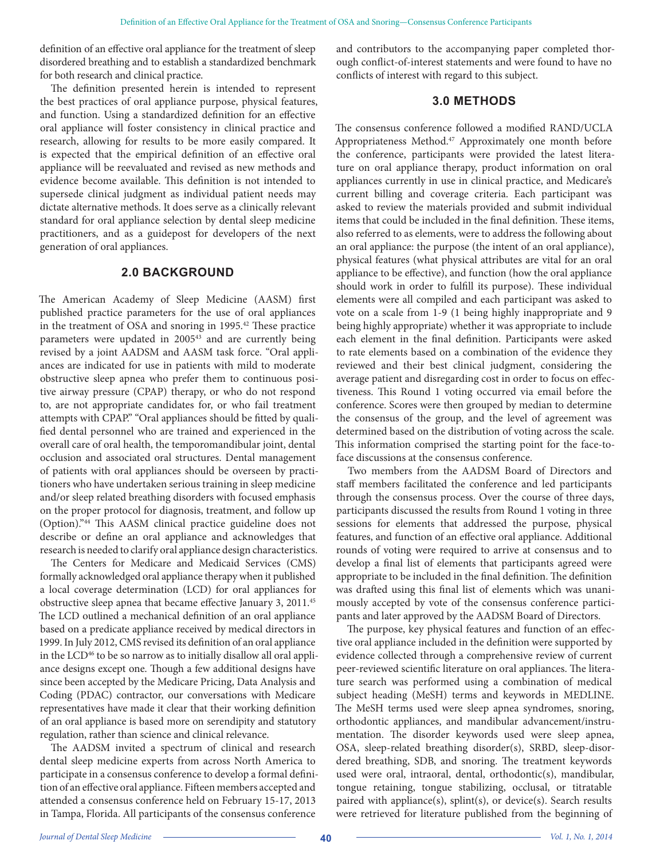definition of an effective oral appliance for the treatment of sleep disordered breathing and to establish a standardized benchmark for both research and clinical practice.

The definition presented herein is intended to represent the best practices of oral appliance purpose, physical features, and function. Using a standardized definition for an effective oral appliance will foster consistency in clinical practice and research, allowing for results to be more easily compared. It is expected that the empirical definition of an effective oral appliance will be reevaluated and revised as new methods and evidence become available. This definition is not intended to supersede clinical judgment as individual patient needs may dictate alternative methods. It does serve as a clinically relevant standard for oral appliance selection by dental sleep medicine practitioners, and as a guidepost for developers of the next generation of oral appliances.

#### **2.0 BACKGROUND**

The American Academy of Sleep Medicine (AASM) first published practice parameters for the use of oral appliances in the treatment of OSA and snoring in 1995.42 These practice parameters were updated in 2005<sup>43</sup> and are currently being revised by a joint AADSM and AASM task force. "Oral appliances are indicated for use in patients with mild to moderate obstructive sleep apnea who prefer them to continuous positive airway pressure (CPAP) therapy, or who do not respond to, are not appropriate candidates for, or who fail treatment attempts with CPAP." "Oral appliances should be fitted by qualified dental personnel who are trained and experienced in the overall care of oral health, the temporomandibular joint, dental occlusion and associated oral structures. Dental management of patients with oral appliances should be overseen by practitioners who have undertaken serious training in sleep medicine and/or sleep related breathing disorders with focused emphasis on the proper protocol for diagnosis, treatment, and follow up (Option)."44 This AASM clinical practice guideline does not describe or define an oral appliance and acknowledges that research is needed to clarify oral appliance design characteristics.

The Centers for Medicare and Medicaid Services (CMS) formally acknowledged oral appliance therapy when it published a local coverage determination (LCD) for oral appliances for obstructive sleep apnea that became effective January 3, 2011.45 The LCD outlined a mechanical definition of an oral appliance based on a predicate appliance received by medical directors in 1999. In July 2012, CMS revised its definition of an oral appliance in the LCD<sup>46</sup> to be so narrow as to initially disallow all oral appliance designs except one. Though a few additional designs have since been accepted by the Medicare Pricing, Data Analysis and Coding (PDAC) contractor, our conversations with Medicare representatives have made it clear that their working definition of an oral appliance is based more on serendipity and statutory regulation, rather than science and clinical relevance.

The AADSM invited a spectrum of clinical and research dental sleep medicine experts from across North America to participate in a consensus conference to develop a formal definition of an effective oral appliance. Fifteen members accepted and attended a consensus conference held on February 15-17, 2013 in Tampa, Florida. All participants of the consensus conference

and contributors to the accompanying paper completed thorough conflict-of-interest statements and were found to have no conflicts of interest with regard to this subject.

#### **3.0 METHODS**

The consensus conference followed a modified RAND/UCLA Appropriateness Method.<sup>47</sup> Approximately one month before the conference, participants were provided the latest literature on oral appliance therapy, product information on oral appliances currently in use in clinical practice, and Medicare's current billing and coverage criteria. Each participant was asked to review the materials provided and submit individual items that could be included in the final definition. These items, also referred to as elements, were to address the following about an oral appliance: the purpose (the intent of an oral appliance), physical features (what physical attributes are vital for an oral appliance to be effective), and function (how the oral appliance should work in order to fulfill its purpose). These individual elements were all compiled and each participant was asked to vote on a scale from 1-9 (1 being highly inappropriate and 9 being highly appropriate) whether it was appropriate to include each element in the final definition. Participants were asked to rate elements based on a combination of the evidence they reviewed and their best clinical judgment, considering the average patient and disregarding cost in order to focus on effectiveness. This Round 1 voting occurred via email before the conference. Scores were then grouped by median to determine the consensus of the group, and the level of agreement was determined based on the distribution of voting across the scale. This information comprised the starting point for the face-toface discussions at the consensus conference.

Two members from the AADSM Board of Directors and staff members facilitated the conference and led participants through the consensus process. Over the course of three days, participants discussed the results from Round 1 voting in three sessions for elements that addressed the purpose, physical features, and function of an effective oral appliance. Additional rounds of voting were required to arrive at consensus and to develop a final list of elements that participants agreed were appropriate to be included in the final definition. The definition was drafted using this final list of elements which was unanimously accepted by vote of the consensus conference participants and later approved by the AADSM Board of Directors.

The purpose, key physical features and function of an effective oral appliance included in the definition were supported by evidence collected through a comprehensive review of current peer-reviewed scientific literature on oral appliances. The literature search was performed using a combination of medical subject heading (MeSH) terms and keywords in MEDLINE. The MeSH terms used were sleep apnea syndromes, snoring, orthodontic appliances, and mandibular advancement/instrumentation. The disorder keywords used were sleep apnea, OSA, sleep-related breathing disorder(s), SRBD, sleep-disordered breathing, SDB, and snoring. The treatment keywords used were oral, intraoral, dental, orthodontic(s), mandibular, tongue retaining, tongue stabilizing, occlusal, or titratable paired with appliance(s), splint(s), or device(s). Search results were retrieved for literature published from the beginning of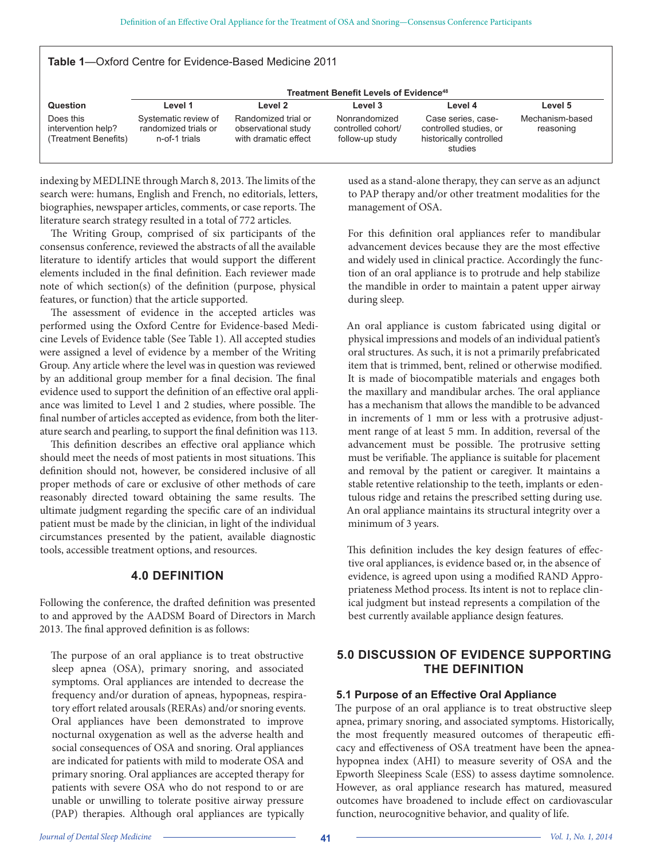| <b>Table 1—Oxford Centre for Evidence-Based Medicine 2011</b> |                                                               |                                                                    |                                                        |                                                                                    |                              |
|---------------------------------------------------------------|---------------------------------------------------------------|--------------------------------------------------------------------|--------------------------------------------------------|------------------------------------------------------------------------------------|------------------------------|
|                                                               | <b>Treatment Benefit Levels of Evidence<sup>48</sup></b>      |                                                                    |                                                        |                                                                                    |                              |
| Question                                                      | Level 1                                                       | Level 2                                                            | Level 3                                                | Level 4                                                                            | Level 5                      |
| Does this<br>intervention help?<br>(Treatment Benefits)       | Systematic review of<br>randomized trials or<br>n-of-1 trials | Randomized trial or<br>observational study<br>with dramatic effect | Nonrandomized<br>controlled cohort/<br>follow-up study | Case series, case-<br>controlled studies, or<br>historically controlled<br>studies | Mechanism-based<br>reasoning |

indexing by MEDLINE through March 8, 2013. The limits of the search were: humans, English and French, no editorials, letters, biographies, newspaper articles, comments, or case reports. The literature search strategy resulted in a total of 772 articles.

The Writing Group, comprised of six participants of the consensus conference, reviewed the abstracts of all the available literature to identify articles that would support the different elements included in the final definition. Each reviewer made note of which section(s) of the definition (purpose, physical features, or function) that the article supported.

The assessment of evidence in the accepted articles was performed using the Oxford Centre for Evidence-based Medicine Levels of Evidence table (See Table 1). All accepted studies were assigned a level of evidence by a member of the Writing Group. Any article where the level was in question was reviewed by an additional group member for a final decision. The final evidence used to support the definition of an effective oral appliance was limited to Level 1 and 2 studies, where possible. The final number of articles accepted as evidence, from both the literature search and pearling, to support the final definition was 113.

This definition describes an effective oral appliance which should meet the needs of most patients in most situations. This definition should not, however, be considered inclusive of all proper methods of care or exclusive of other methods of care reasonably directed toward obtaining the same results. The ultimate judgment regarding the specific care of an individual patient must be made by the clinician, in light of the individual circumstances presented by the patient, available diagnostic tools, accessible treatment options, and resources.

## **4.0 DEFINITION**

Following the conference, the drafted definition was presented to and approved by the AADSM Board of Directors in March 2013. The final approved definition is as follows:

The purpose of an oral appliance is to treat obstructive sleep apnea (OSA), primary snoring, and associated symptoms. Oral appliances are intended to decrease the frequency and/or duration of apneas, hypopneas, respiratory effort related arousals (RERAs) and/or snoring events. Oral appliances have been demonstrated to improve nocturnal oxygenation as well as the adverse health and social consequences of OSA and snoring. Oral appliances are indicated for patients with mild to moderate OSA and primary snoring. Oral appliances are accepted therapy for patients with severe OSA who do not respond to or are unable or unwilling to tolerate positive airway pressure (PAP) therapies. Although oral appliances are typically

used as a stand-alone therapy, they can serve as an adjunct to PAP therapy and/or other treatment modalities for the management of OSA.

For this definition oral appliances refer to mandibular advancement devices because they are the most effective and widely used in clinical practice. Accordingly the function of an oral appliance is to protrude and help stabilize the mandible in order to maintain a patent upper airway during sleep.

An oral appliance is custom fabricated using digital or physical impressions and models of an individual patient's oral structures. As such, it is not a primarily prefabricated item that is trimmed, bent, relined or otherwise modified. It is made of biocompatible materials and engages both the maxillary and mandibular arches. The oral appliance has a mechanism that allows the mandible to be advanced in increments of 1 mm or less with a protrusive adjustment range of at least 5 mm. In addition, reversal of the advancement must be possible. The protrusive setting must be verifiable. The appliance is suitable for placement and removal by the patient or caregiver. It maintains a stable retentive relationship to the teeth, implants or edentulous ridge and retains the prescribed setting during use. An oral appliance maintains its structural integrity over a minimum of 3 years.

This definition includes the key design features of effective oral appliances, is evidence based or, in the absence of evidence, is agreed upon using a modified RAND Appropriateness Method process. Its intent is not to replace clinical judgment but instead represents a compilation of the best currently available appliance design features.

## **5.0 DISCUSSION OF EVIDENCE SUPPORTING THE DEFINITION**

#### **5.1 Purpose of an Effective Oral Appliance**

The purpose of an oral appliance is to treat obstructive sleep apnea, primary snoring, and associated symptoms. Historically, the most frequently measured outcomes of therapeutic efficacy and effectiveness of OSA treatment have been the apneahypopnea index (AHI) to measure severity of OSA and the Epworth Sleepiness Scale (ESS) to assess daytime somnolence. However, as oral appliance research has matured, measured outcomes have broadened to include effect on cardiovascular function, neurocognitive behavior, and quality of life.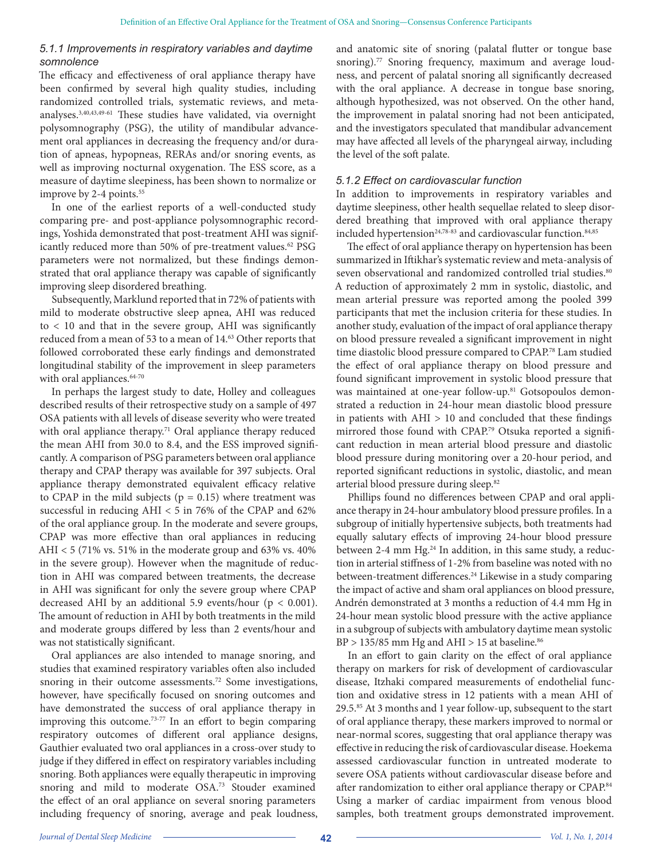#### *5.1.1 Improvements in respiratory variables and daytime somnolence*

The efficacy and effectiveness of oral appliance therapy have been confirmed by several high quality studies, including randomized controlled trials, systematic reviews, and metaanalyses.3,40,43,49-61 These studies have validated, via overnight polysomnography (PSG), the utility of mandibular advancement oral appliances in decreasing the frequency and/or duration of apneas, hypopneas, RERAs and/or snoring events, as well as improving nocturnal oxygenation. The ESS score, as a measure of daytime sleepiness, has been shown to normalize or improve by 2-4 points.<sup>55</sup>

In one of the earliest reports of a well-conducted study comparing pre- and post-appliance polysomnographic recordings, Yoshida demonstrated that post-treatment AHI was significantly reduced more than 50% of pre-treatment values.<sup>62</sup> PSG parameters were not normalized, but these findings demonstrated that oral appliance therapy was capable of significantly improving sleep disordered breathing.

Subsequently, Marklund reported that in 72% of patients with mild to moderate obstructive sleep apnea, AHI was reduced  $to < 10$  and that in the severe group, AHI was significantly reduced from a mean of 53 to a mean of 14.<sup>63</sup> Other reports that followed corroborated these early findings and demonstrated longitudinal stability of the improvement in sleep parameters with oral appliances.<sup>64-70</sup>

In perhaps the largest study to date, Holley and colleagues described results of their retrospective study on a sample of 497 OSA patients with all levels of disease severity who were treated with oral appliance therapy.<sup>71</sup> Oral appliance therapy reduced the mean AHI from 30.0 to 8.4, and the ESS improved significantly. A comparison of PSG parameters between oral appliance therapy and CPAP therapy was available for 397 subjects. Oral appliance therapy demonstrated equivalent efficacy relative to CPAP in the mild subjects ( $p = 0.15$ ) where treatment was successful in reducing AHI < 5 in 76% of the CPAP and 62% of the oral appliance group. In the moderate and severe groups, CPAP was more effective than oral appliances in reducing AHI <  $5$  (71% vs. 51% in the moderate group and 63% vs. 40% in the severe group). However when the magnitude of reduction in AHI was compared between treatments, the decrease in AHI was significant for only the severe group where CPAP decreased AHI by an additional 5.9 events/hour ( $p < 0.001$ ). The amount of reduction in AHI by both treatments in the mild and moderate groups differed by less than 2 events/hour and was not statistically significant.

Oral appliances are also intended to manage snoring, and studies that examined respiratory variables often also included snoring in their outcome assessments.<sup>72</sup> Some investigations, however, have specifically focused on snoring outcomes and have demonstrated the success of oral appliance therapy in improving this outcome.73-77 In an effort to begin comparing respiratory outcomes of different oral appliance designs, Gauthier evaluated two oral appliances in a cross-over study to judge if they differed in effect on respiratory variables including snoring. Both appliances were equally therapeutic in improving snoring and mild to moderate OSA.73 Stouder examined the effect of an oral appliance on several snoring parameters including frequency of snoring, average and peak loudness, and anatomic site of snoring (palatal flutter or tongue base snoring).<sup>77</sup> Snoring frequency, maximum and average loudness, and percent of palatal snoring all significantly decreased with the oral appliance. A decrease in tongue base snoring, although hypothesized, was not observed. On the other hand, the improvement in palatal snoring had not been anticipated, and the investigators speculated that mandibular advancement may have affected all levels of the pharyngeal airway, including the level of the soft palate.

#### *5.1.2 Effect on cardiovascular function*

In addition to improvements in respiratory variables and daytime sleepiness, other health sequellae related to sleep disordered breathing that improved with oral appliance therapy included hypertension<sup>24,78-83</sup> and cardiovascular function.<sup>84,85</sup>

The effect of oral appliance therapy on hypertension has been summarized in Iftikhar's systematic review and meta-analysis of seven observational and randomized controlled trial studies.<sup>80</sup> A reduction of approximately 2 mm in systolic, diastolic, and mean arterial pressure was reported among the pooled 399 participants that met the inclusion criteria for these studies. In another study, evaluation of the impact of oral appliance therapy on blood pressure revealed a significant improvement in night time diastolic blood pressure compared to CPAP.<sup>78</sup> Lam studied the effect of oral appliance therapy on blood pressure and found significant improvement in systolic blood pressure that was maintained at one-year follow-up.<sup>81</sup> Gotsopoulos demonstrated a reduction in 24-hour mean diastolic blood pressure in patients with AHI > 10 and concluded that these findings mirrored those found with CPAP.<sup>79</sup> Otsuka reported a significant reduction in mean arterial blood pressure and diastolic blood pressure during monitoring over a 20-hour period, and reported significant reductions in systolic, diastolic, and mean arterial blood pressure during sleep.82

Phillips found no differences between CPAP and oral appliance therapy in 24-hour ambulatory blood pressure profiles. In a subgroup of initially hypertensive subjects, both treatments had equally salutary effects of improving 24-hour blood pressure between 2-4 mm Hg.<sup>24</sup> In addition, in this same study, a reduction in arterial stiffness of 1-2% from baseline was noted with no between-treatment differences.<sup>24</sup> Likewise in a study comparing the impact of active and sham oral appliances on blood pressure, Andrén demonstrated at 3 months a reduction of 4.4 mm Hg in 24-hour mean systolic blood pressure with the active appliance in a subgroup of subjects with ambulatory daytime mean systolic  $BP > 135/85$  mm Hg and AHI > 15 at baseline.<sup>86</sup>

In an effort to gain clarity on the effect of oral appliance therapy on markers for risk of development of cardiovascular disease, Itzhaki compared measurements of endothelial function and oxidative stress in 12 patients with a mean AHI of 29.5.85 At 3 months and 1 year follow-up, subsequent to the start of oral appliance therapy, these markers improved to normal or near-normal scores, suggesting that oral appliance therapy was effective in reducing the risk of cardiovascular disease. Hoekema assessed cardiovascular function in untreated moderate to severe OSA patients without cardiovascular disease before and after randomization to either oral appliance therapy or CPAP.84 Using a marker of cardiac impairment from venous blood samples, both treatment groups demonstrated improvement.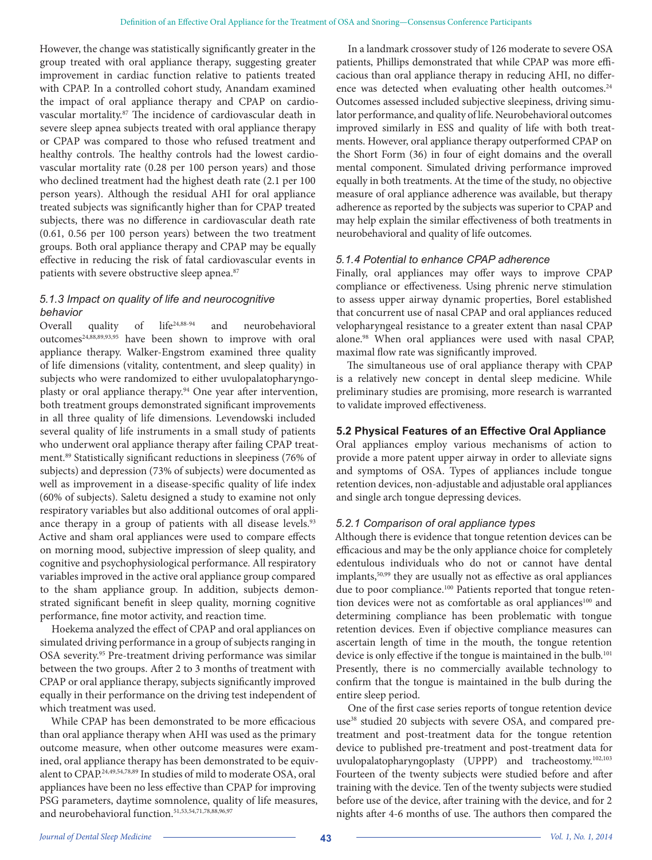However, the change was statistically significantly greater in the group treated with oral appliance therapy, suggesting greater improvement in cardiac function relative to patients treated with CPAP. In a controlled cohort study, Anandam examined the impact of oral appliance therapy and CPAP on cardiovascular mortality.87 The incidence of cardiovascular death in severe sleep apnea subjects treated with oral appliance therapy or CPAP was compared to those who refused treatment and healthy controls. The healthy controls had the lowest cardiovascular mortality rate (0.28 per 100 person years) and those who declined treatment had the highest death rate (2.1 per 100 person years). Although the residual AHI for oral appliance treated subjects was significantly higher than for CPAP treated subjects, there was no difference in cardiovascular death rate (0.61, 0.56 per 100 person years) between the two treatment groups. Both oral appliance therapy and CPAP may be equally effective in reducing the risk of fatal cardiovascular events in patients with severe obstructive sleep apnea.<sup>87</sup>

#### *5.1.3 Impact on quality of life and neurocognitive behavior*

Overall quality of life24,88-94 and neurobehavioral outcomes24,88,89,93,95 have been shown to improve with oral appliance therapy. Walker-Engstrom examined three quality of life dimensions (vitality, contentment, and sleep quality) in subjects who were randomized to either uvulopalatopharyngoplasty or oral appliance therapy.94 One year after intervention, both treatment groups demonstrated significant improvements in all three quality of life dimensions. Levendowski included several quality of life instruments in a small study of patients who underwent oral appliance therapy after failing CPAP treatment.89 Statistically significant reductions in sleepiness (76% of subjects) and depression (73% of subjects) were documented as well as improvement in a disease-specific quality of life index (60% of subjects). Saletu designed a study to examine not only respiratory variables but also additional outcomes of oral appliance therapy in a group of patients with all disease levels.<sup>93</sup> Active and sham oral appliances were used to compare effects on morning mood, subjective impression of sleep quality, and cognitive and psychophysiological performance. All respiratory variables improved in the active oral appliance group compared to the sham appliance group. In addition, subjects demonstrated significant benefit in sleep quality, morning cognitive performance, fine motor activity, and reaction time.

Hoekema analyzed the effect of CPAP and oral appliances on simulated driving performance in a group of subjects ranging in OSA severity.95 Pre-treatment driving performance was similar between the two groups. After 2 to 3 months of treatment with CPAP or oral appliance therapy, subjects significantly improved equally in their performance on the driving test independent of which treatment was used.

While CPAP has been demonstrated to be more efficacious than oral appliance therapy when AHI was used as the primary outcome measure, when other outcome measures were examined, oral appliance therapy has been demonstrated to be equivalent to CPAP.24,49,54,78,89 In studies of mild to moderate OSA, oral appliances have been no less effective than CPAP for improving PSG parameters, daytime somnolence, quality of life measures, and neurobehavioral function.51,53,54,71,78,88,96,97

In a landmark crossover study of 126 moderate to severe OSA patients, Phillips demonstrated that while CPAP was more efficacious than oral appliance therapy in reducing AHI, no difference was detected when evaluating other health outcomes.<sup>24</sup> Outcomes assessed included subjective sleepiness, driving simulator performance, and quality of life. Neurobehavioral outcomes improved similarly in ESS and quality of life with both treatments. However, oral appliance therapy outperformed CPAP on the Short Form (36) in four of eight domains and the overall mental component. Simulated driving performance improved equally in both treatments. At the time of the study, no objective measure of oral appliance adherence was available, but therapy adherence as reported by the subjects was superior to CPAP and may help explain the similar effectiveness of both treatments in neurobehavioral and quality of life outcomes.

### *5.1.4 Potential to enhance CPAP adherence*

Finally, oral appliances may offer ways to improve CPAP compliance or effectiveness. Using phrenic nerve stimulation to assess upper airway dynamic properties, Borel established that concurrent use of nasal CPAP and oral appliances reduced velopharyngeal resistance to a greater extent than nasal CPAP alone.98 When oral appliances were used with nasal CPAP, maximal flow rate was significantly improved.

The simultaneous use of oral appliance therapy with CPAP is a relatively new concept in dental sleep medicine. While preliminary studies are promising, more research is warranted to validate improved effectiveness.

#### **5.2 Physical Features of an Effective Oral Appliance**

Oral appliances employ various mechanisms of action to provide a more patent upper airway in order to alleviate signs and symptoms of OSA. Types of appliances include tongue retention devices, non-adjustable and adjustable oral appliances and single arch tongue depressing devices.

### *5.2.1 Comparison of oral appliance types*

Although there is evidence that tongue retention devices can be efficacious and may be the only appliance choice for completely edentulous individuals who do not or cannot have dental implants,<sup>50,99</sup> they are usually not as effective as oral appliances due to poor compliance.<sup>100</sup> Patients reported that tongue retention devices were not as comfortable as oral appliances<sup>100</sup> and determining compliance has been problematic with tongue retention devices. Even if objective compliance measures can ascertain length of time in the mouth, the tongue retention device is only effective if the tongue is maintained in the bulb.<sup>101</sup> Presently, there is no commercially available technology to confirm that the tongue is maintained in the bulb during the entire sleep period.

One of the first case series reports of tongue retention device use<sup>38</sup> studied 20 subjects with severe OSA, and compared pretreatment and post-treatment data for the tongue retention device to published pre-treatment and post-treatment data for uvulopalatopharyngoplasty (UPPP) and tracheostomy.102,103 Fourteen of the twenty subjects were studied before and after training with the device. Ten of the twenty subjects were studied before use of the device, after training with the device, and for 2 nights after 4-6 months of use. The authors then compared the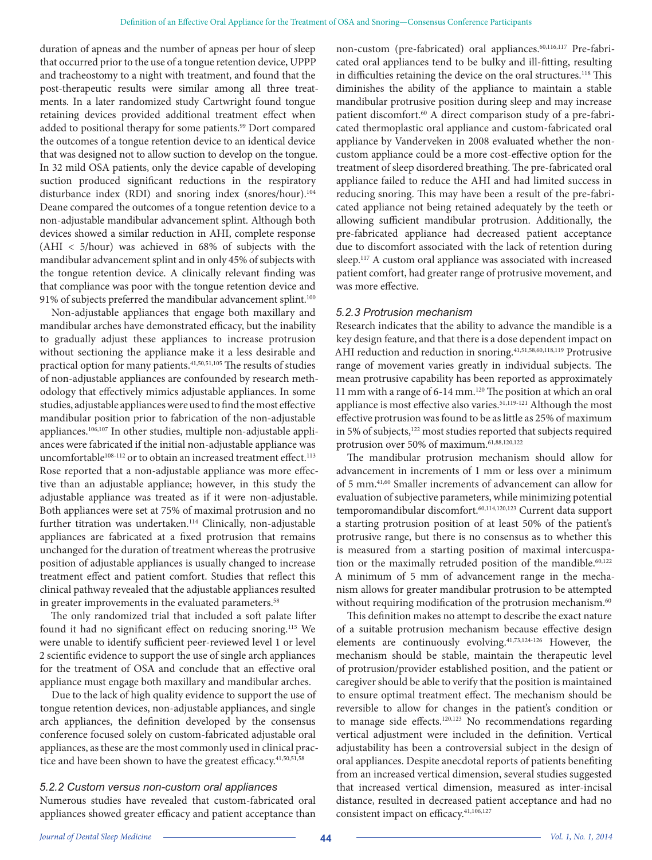duration of apneas and the number of apneas per hour of sleep that occurred prior to the use of a tongue retention device, UPPP and tracheostomy to a night with treatment, and found that the post-therapeutic results were similar among all three treatments. In a later randomized study Cartwright found tongue retaining devices provided additional treatment effect when added to positional therapy for some patients.<sup>99</sup> Dort compared the outcomes of a tongue retention device to an identical device that was designed not to allow suction to develop on the tongue. In 32 mild OSA patients, only the device capable of developing suction produced significant reductions in the respiratory disturbance index (RDI) and snoring index (snores/hour).104 Deane compared the outcomes of a tongue retention device to a non-adjustable mandibular advancement splint. Although both devices showed a similar reduction in AHI, complete response (AHI < 5/hour) was achieved in 68% of subjects with the mandibular advancement splint and in only 45% of subjects with the tongue retention device. A clinically relevant finding was that compliance was poor with the tongue retention device and 91% of subjects preferred the mandibular advancement splint.<sup>100</sup>

Non-adjustable appliances that engage both maxillary and mandibular arches have demonstrated efficacy, but the inability to gradually adjust these appliances to increase protrusion without sectioning the appliance make it a less desirable and practical option for many patients.41,50,51,105 The results of studies of non-adjustable appliances are confounded by research methodology that effectively mimics adjustable appliances. In some studies, adjustable appliances were used to find the most effective mandibular position prior to fabrication of the non-adjustable appliances.106,107 In other studies, multiple non-adjustable appliances were fabricated if the initial non-adjustable appliance was uncomfortable<sup>108-112</sup> or to obtain an increased treatment effect.<sup>113</sup> Rose reported that a non-adjustable appliance was more effective than an adjustable appliance; however, in this study the adjustable appliance was treated as if it were non-adjustable. Both appliances were set at 75% of maximal protrusion and no further titration was undertaken.<sup>114</sup> Clinically, non-adjustable appliances are fabricated at a fixed protrusion that remains unchanged for the duration of treatment whereas the protrusive position of adjustable appliances is usually changed to increase treatment effect and patient comfort. Studies that reflect this clinical pathway revealed that the adjustable appliances resulted in greater improvements in the evaluated parameters.<sup>58</sup>

The only randomized trial that included a soft palate lifter found it had no significant effect on reducing snoring.115 We were unable to identify sufficient peer-reviewed level 1 or level 2 scientific evidence to support the use of single arch appliances for the treatment of OSA and conclude that an effective oral appliance must engage both maxillary and mandibular arches.

Due to the lack of high quality evidence to support the use of tongue retention devices, non-adjustable appliances, and single arch appliances, the definition developed by the consensus conference focused solely on custom-fabricated adjustable oral appliances, as these are the most commonly used in clinical practice and have been shown to have the greatest efficacy.<sup>41,50,51,58</sup>

#### *5.2.2 Custom versus non-custom oral appliances*

Numerous studies have revealed that custom-fabricated oral appliances showed greater efficacy and patient acceptance than non-custom (pre-fabricated) oral appliances.<sup>60,116,117</sup> Pre-fabricated oral appliances tend to be bulky and ill-fitting, resulting in difficulties retaining the device on the oral structures.<sup>118</sup> This diminishes the ability of the appliance to maintain a stable mandibular protrusive position during sleep and may increase patient discomfort.<sup>60</sup> A direct comparison study of a pre-fabricated thermoplastic oral appliance and custom-fabricated oral appliance by Vanderveken in 2008 evaluated whether the noncustom appliance could be a more cost-effective option for the treatment of sleep disordered breathing. The pre-fabricated oral appliance failed to reduce the AHI and had limited success in reducing snoring. This may have been a result of the pre-fabricated appliance not being retained adequately by the teeth or allowing sufficient mandibular protrusion. Additionally, the pre-fabricated appliance had decreased patient acceptance due to discomfort associated with the lack of retention during sleep.<sup>117</sup> A custom oral appliance was associated with increased patient comfort, had greater range of protrusive movement, and was more effective.

#### *5.2.3 Protrusion mechanism*

Research indicates that the ability to advance the mandible is a key design feature, and that there is a dose dependent impact on AHI reduction and reduction in snoring.<sup>41,51,58,60,118,119</sup> Protrusive range of movement varies greatly in individual subjects. The mean protrusive capability has been reported as approximately 11 mm with a range of 6-14 mm.120 The position at which an oral appliance is most effective also varies.<sup>51,119-121</sup> Although the most effective protrusion was found to be as little as 25% of maximum in 5% of subjects,<sup>122</sup> most studies reported that subjects required protrusion over 50% of maximum.<sup>61,88,120,122</sup>

The mandibular protrusion mechanism should allow for advancement in increments of 1 mm or less over a minimum of 5 mm.41,60 Smaller increments of advancement can allow for evaluation of subjective parameters, while minimizing potential temporomandibular discomfort.60,114,120,123 Current data support a starting protrusion position of at least 50% of the patient's protrusive range, but there is no consensus as to whether this is measured from a starting position of maximal intercuspation or the maximally retruded position of the mandible.<sup>60,122</sup> A minimum of 5 mm of advancement range in the mechanism allows for greater mandibular protrusion to be attempted without requiring modification of the protrusion mechanism.<sup>60</sup>

This definition makes no attempt to describe the exact nature of a suitable protrusion mechanism because effective design elements are continuously evolving.41,73,124-126 However, the mechanism should be stable, maintain the therapeutic level of protrusion/provider established position, and the patient or caregiver should be able to verify that the position is maintained to ensure optimal treatment effect. The mechanism should be reversible to allow for changes in the patient's condition or to manage side effects.120,123 No recommendations regarding vertical adjustment were included in the definition. Vertical adjustability has been a controversial subject in the design of oral appliances. Despite anecdotal reports of patients benefiting from an increased vertical dimension, several studies suggested that increased vertical dimension, measured as inter-incisal distance, resulted in decreased patient acceptance and had no consistent impact on efficacy.<sup>41,106,127</sup>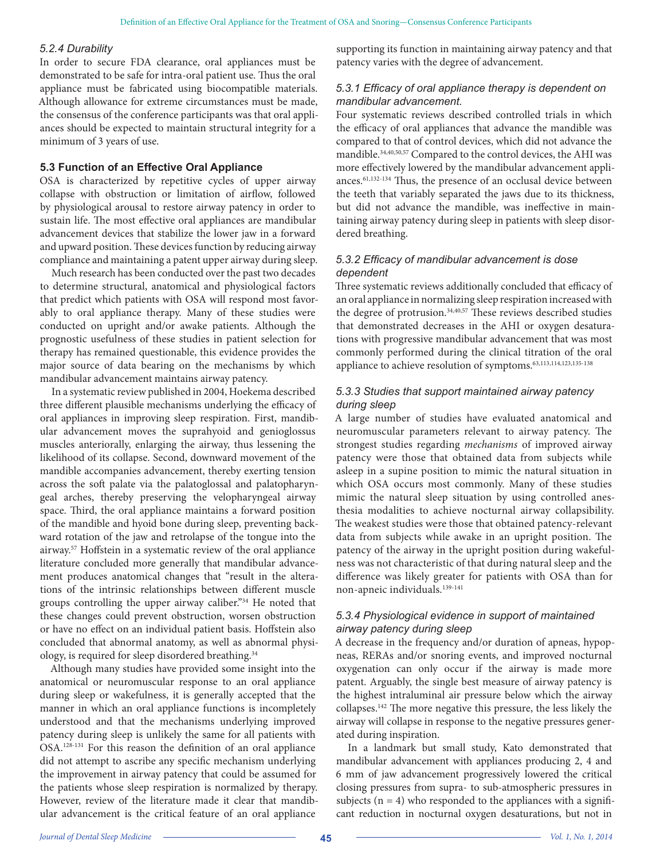#### *5.2.4 Durability*

In order to secure FDA clearance, oral appliances must be demonstrated to be safe for intra-oral patient use. Thus the oral appliance must be fabricated using biocompatible materials. Although allowance for extreme circumstances must be made, the consensus of the conference participants was that oral appliances should be expected to maintain structural integrity for a minimum of 3 years of use.

#### **5.3 Function of an Effective Oral Appliance**

OSA is characterized by repetitive cycles of upper airway collapse with obstruction or limitation of airflow, followed by physiological arousal to restore airway patency in order to sustain life. The most effective oral appliances are mandibular advancement devices that stabilize the lower jaw in a forward and upward position. These devices function by reducing airway compliance and maintaining a patent upper airway during sleep.

Much research has been conducted over the past two decades to determine structural, anatomical and physiological factors that predict which patients with OSA will respond most favorably to oral appliance therapy. Many of these studies were conducted on upright and/or awake patients. Although the prognostic usefulness of these studies in patient selection for therapy has remained questionable, this evidence provides the major source of data bearing on the mechanisms by which mandibular advancement maintains airway patency.

In a systematic review published in 2004, Hoekema described three different plausible mechanisms underlying the efficacy of oral appliances in improving sleep respiration. First, mandibular advancement moves the suprahyoid and genioglossus muscles anteriorally, enlarging the airway, thus lessening the likelihood of its collapse. Second, downward movement of the mandible accompanies advancement, thereby exerting tension across the soft palate via the palatoglossal and palatopharyngeal arches, thereby preserving the velopharyngeal airway space. Third, the oral appliance maintains a forward position of the mandible and hyoid bone during sleep, preventing backward rotation of the jaw and retrolapse of the tongue into the airway.57 Hoffstein in a systematic review of the oral appliance literature concluded more generally that mandibular advancement produces anatomical changes that "result in the alterations of the intrinsic relationships between different muscle groups controlling the upper airway caliber."34 He noted that these changes could prevent obstruction, worsen obstruction or have no effect on an individual patient basis. Hoffstein also concluded that abnormal anatomy, as well as abnormal physiology, is required for sleep disordered breathing.<sup>34</sup>

Although many studies have provided some insight into the anatomical or neuromuscular response to an oral appliance during sleep or wakefulness, it is generally accepted that the manner in which an oral appliance functions is incompletely understood and that the mechanisms underlying improved patency during sleep is unlikely the same for all patients with OSA.128-131 For this reason the definition of an oral appliance did not attempt to ascribe any specific mechanism underlying the improvement in airway patency that could be assumed for the patients whose sleep respiration is normalized by therapy. However, review of the literature made it clear that mandibular advancement is the critical feature of an oral appliance

supporting its function in maintaining airway patency and that patency varies with the degree of advancement.

#### *5.3.1 Efficacy of oral appliance therapy is dependent on mandibular advancement.*

Four systematic reviews described controlled trials in which the efficacy of oral appliances that advance the mandible was compared to that of control devices, which did not advance the mandible.34,40,50,57 Compared to the control devices, the AHI was more effectively lowered by the mandibular advancement appliances.61,132-134 Thus, the presence of an occlusal device between the teeth that variably separated the jaws due to its thickness, but did not advance the mandible, was ineffective in maintaining airway patency during sleep in patients with sleep disordered breathing.

#### *5.3.2 Efficacy of mandibular advancement is dose dependent*

Three systematic reviews additionally concluded that efficacy of an oral appliance in normalizing sleep respiration increased with the degree of protrusion.<sup>34,40,57</sup> These reviews described studies that demonstrated decreases in the AHI or oxygen desaturations with progressive mandibular advancement that was most commonly performed during the clinical titration of the oral appliance to achieve resolution of symptoms.63,113,114,123,135-138

#### *5.3.3 Studies that support maintained airway patency during sleep*

A large number of studies have evaluated anatomical and neuromuscular parameters relevant to airway patency. The strongest studies regarding *mechanisms* of improved airway patency were those that obtained data from subjects while asleep in a supine position to mimic the natural situation in which OSA occurs most commonly. Many of these studies mimic the natural sleep situation by using controlled anesthesia modalities to achieve nocturnal airway collapsibility. The weakest studies were those that obtained patency-relevant data from subjects while awake in an upright position. The patency of the airway in the upright position during wakefulness was not characteristic of that during natural sleep and the difference was likely greater for patients with OSA than for non-apneic individuals.<sup>139-141</sup>

#### *5.3.4 Physiological evidence in support of maintained airway patency during sleep*

A decrease in the frequency and/or duration of apneas, hypopneas, RERAs and/or snoring events, and improved nocturnal oxygenation can only occur if the airway is made more patent. Arguably, the single best measure of airway patency is the highest intraluminal air pressure below which the airway collapses.142 The more negative this pressure, the less likely the airway will collapse in response to the negative pressures generated during inspiration.

In a landmark but small study, Kato demonstrated that mandibular advancement with appliances producing 2, 4 and 6 mm of jaw advancement progressively lowered the critical closing pressures from supra- to sub-atmospheric pressures in subjects ( $n = 4$ ) who responded to the appliances with a significant reduction in nocturnal oxygen desaturations, but not in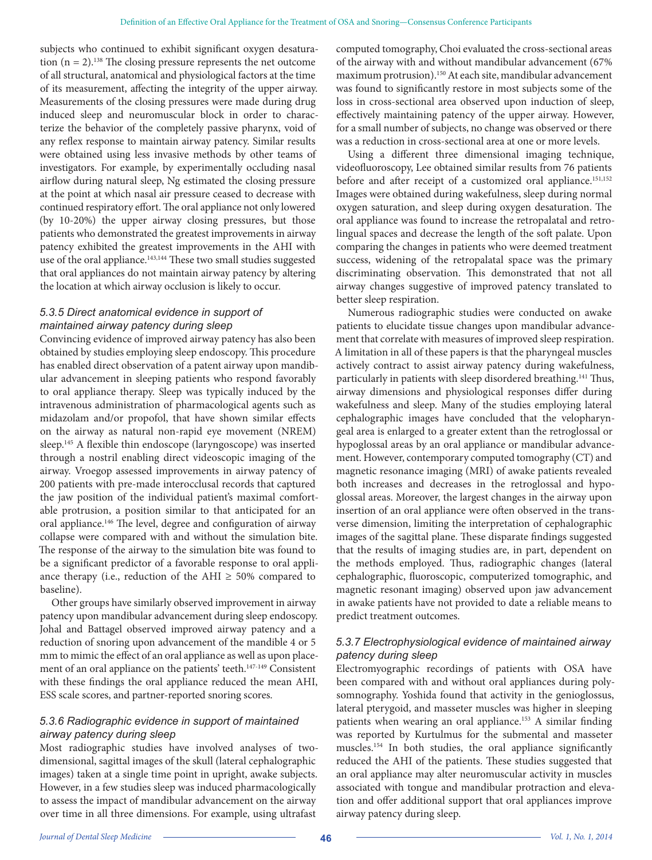subjects who continued to exhibit significant oxygen desaturation ( $n = 2$ ).<sup>138</sup> The closing pressure represents the net outcome of all structural, anatomical and physiological factors at the time of its measurement, affecting the integrity of the upper airway. Measurements of the closing pressures were made during drug induced sleep and neuromuscular block in order to characterize the behavior of the completely passive pharynx, void of any reflex response to maintain airway patency. Similar results were obtained using less invasive methods by other teams of investigators. For example, by experimentally occluding nasal airflow during natural sleep, Ng estimated the closing pressure at the point at which nasal air pressure ceased to decrease with continued respiratory effort. The oral appliance not only lowered (by 10-20%) the upper airway closing pressures, but those patients who demonstrated the greatest improvements in airway patency exhibited the greatest improvements in the AHI with use of the oral appliance.<sup>143,144</sup> These two small studies suggested that oral appliances do not maintain airway patency by altering the location at which airway occlusion is likely to occur.

### *5.3.5 Direct anatomical evidence in support of maintained airway patency during sleep*

Convincing evidence of improved airway patency has also been obtained by studies employing sleep endoscopy. This procedure has enabled direct observation of a patent airway upon mandibular advancement in sleeping patients who respond favorably to oral appliance therapy. Sleep was typically induced by the intravenous administration of pharmacological agents such as midazolam and/or propofol, that have shown similar effects on the airway as natural non-rapid eye movement (NREM) sleep.145 A flexible thin endoscope (laryngoscope) was inserted through a nostril enabling direct videoscopic imaging of the airway. Vroegop assessed improvements in airway patency of 200 patients with pre-made interocclusal records that captured the jaw position of the individual patient's maximal comfortable protrusion, a position similar to that anticipated for an oral appliance.146 The level, degree and configuration of airway collapse were compared with and without the simulation bite. The response of the airway to the simulation bite was found to be a significant predictor of a favorable response to oral appliance therapy (i.e., reduction of the AHI  $\geq$  50% compared to baseline).

Other groups have similarly observed improvement in airway patency upon mandibular advancement during sleep endoscopy. Johal and Battagel observed improved airway patency and a reduction of snoring upon advancement of the mandible 4 or 5 mm to mimic the effect of an oral appliance as well as upon placement of an oral appliance on the patients' teeth.<sup>147-149</sup> Consistent with these findings the oral appliance reduced the mean AHI, ESS scale scores, and partner-reported snoring scores.

### *5.3.6 Radiographic evidence in support of maintained airway patency during sleep*

Most radiographic studies have involved analyses of twodimensional, sagittal images of the skull (lateral cephalographic images) taken at a single time point in upright, awake subjects. However, in a few studies sleep was induced pharmacologically to assess the impact of mandibular advancement on the airway over time in all three dimensions. For example, using ultrafast

computed tomography, Choi evaluated the cross-sectional areas of the airway with and without mandibular advancement (67% maximum protrusion).150 At each site, mandibular advancement was found to significantly restore in most subjects some of the loss in cross-sectional area observed upon induction of sleep, effectively maintaining patency of the upper airway. However, for a small number of subjects, no change was observed or there was a reduction in cross-sectional area at one or more levels.

Using a different three dimensional imaging technique, videofluoroscopy, Lee obtained similar results from 76 patients before and after receipt of a customized oral appliance.<sup>151,152</sup> Images were obtained during wakefulness, sleep during normal oxygen saturation, and sleep during oxygen desaturation. The oral appliance was found to increase the retropalatal and retrolingual spaces and decrease the length of the soft palate. Upon comparing the changes in patients who were deemed treatment success, widening of the retropalatal space was the primary discriminating observation. This demonstrated that not all airway changes suggestive of improved patency translated to better sleep respiration.

Numerous radiographic studies were conducted on awake patients to elucidate tissue changes upon mandibular advancement that correlate with measures of improved sleep respiration. A limitation in all of these papers is that the pharyngeal muscles actively contract to assist airway patency during wakefulness, particularly in patients with sleep disordered breathing.<sup>141</sup> Thus, airway dimensions and physiological responses differ during wakefulness and sleep. Many of the studies employing lateral cephalographic images have concluded that the velopharyngeal area is enlarged to a greater extent than the retroglossal or hypoglossal areas by an oral appliance or mandibular advancement. However, contemporary computed tomography (CT) and magnetic resonance imaging (MRI) of awake patients revealed both increases and decreases in the retroglossal and hypoglossal areas. Moreover, the largest changes in the airway upon insertion of an oral appliance were often observed in the transverse dimension, limiting the interpretation of cephalographic images of the sagittal plane. These disparate findings suggested that the results of imaging studies are, in part, dependent on the methods employed. Thus, radiographic changes (lateral cephalographic, fluoroscopic, computerized tomographic, and magnetic resonant imaging) observed upon jaw advancement in awake patients have not provided to date a reliable means to predict treatment outcomes.

### *5.3.7 Electrophysiological evidence of maintained airway patency during sleep*

Electromyographic recordings of patients with OSA have been compared with and without oral appliances during polysomnography. Yoshida found that activity in the genioglossus, lateral pterygoid, and masseter muscles was higher in sleeping patients when wearing an oral appliance.<sup>153</sup> A similar finding was reported by Kurtulmus for the submental and masseter muscles.154 In both studies, the oral appliance significantly reduced the AHI of the patients. These studies suggested that an oral appliance may alter neuromuscular activity in muscles associated with tongue and mandibular protraction and elevation and offer additional support that oral appliances improve airway patency during sleep.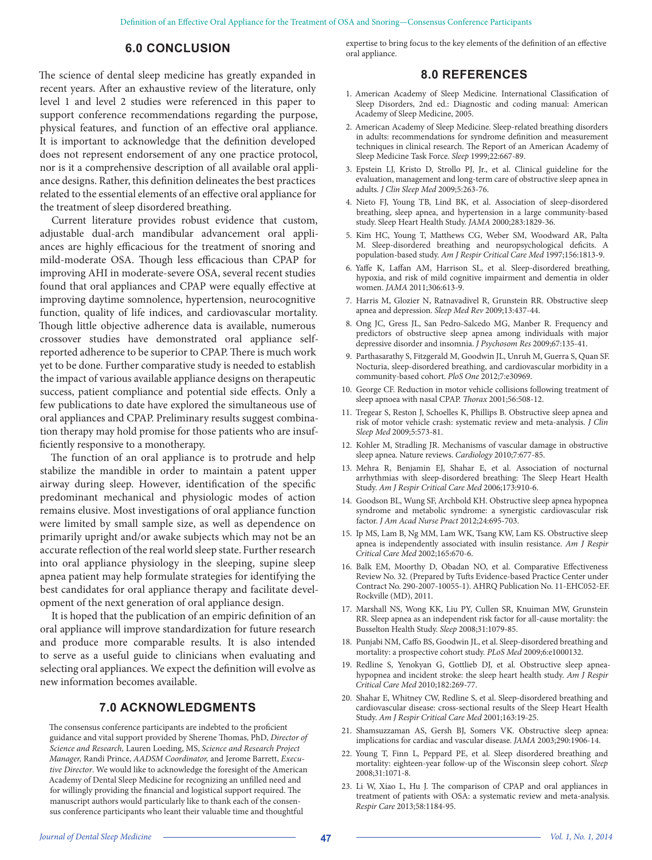#### **6.0 CONCLUSION**

The science of dental sleep medicine has greatly expanded in recent years. After an exhaustive review of the literature, only level 1 and level 2 studies were referenced in this paper to support conference recommendations regarding the purpose, physical features, and function of an effective oral appliance. It is important to acknowledge that the definition developed does not represent endorsement of any one practice protocol, nor is it a comprehensive description of all available oral appliance designs. Rather, this definition delineates the best practices related to the essential elements of an effective oral appliance for the treatment of sleep disordered breathing.

Current literature provides robust evidence that custom, adjustable dual-arch mandibular advancement oral appliances are highly efficacious for the treatment of snoring and mild-moderate OSA. Though less efficacious than CPAP for improving AHI in moderate-severe OSA, several recent studies found that oral appliances and CPAP were equally effective at improving daytime somnolence, hypertension, neurocognitive function, quality of life indices, and cardiovascular mortality. Though little objective adherence data is available, numerous crossover studies have demonstrated oral appliance selfreported adherence to be superior to CPAP. There is much work yet to be done. Further comparative study is needed to establish the impact of various available appliance designs on therapeutic success, patient compliance and potential side effects. Only a few publications to date have explored the simultaneous use of oral appliances and CPAP. Preliminary results suggest combination therapy may hold promise for those patients who are insufficiently responsive to a monotherapy.

The function of an oral appliance is to protrude and help stabilize the mandible in order to maintain a patent upper airway during sleep. However, identification of the specific predominant mechanical and physiologic modes of action remains elusive. Most investigations of oral appliance function were limited by small sample size, as well as dependence on primarily upright and/or awake subjects which may not be an accurate reflection of the real world sleep state. Further research into oral appliance physiology in the sleeping, supine sleep apnea patient may help formulate strategies for identifying the best candidates for oral appliance therapy and facilitate development of the next generation of oral appliance design.

It is hoped that the publication of an empiric definition of an oral appliance will improve standardization for future research and produce more comparable results. It is also intended to serve as a useful guide to clinicians when evaluating and selecting oral appliances. We expect the definition will evolve as new information becomes available.

#### **7.0 ACKNOWLEDGMENTS**

The consensus conference participants are indebted to the proficient guidance and vital support provided by Sherene Thomas, PhD, *Director of Science and Research,* Lauren Loeding, MS, *Science and Research Project Manager,* Randi Prince, *AADSM Coordinator,* and Jerome Barrett, *Executive Director*. We would like to acknowledge the foresight of the American Academy of Dental Sleep Medicine for recognizing an unfilled need and for willingly providing the financial and logistical support required. The manuscript authors would particularly like to thank each of the consensus conference participants who leant their valuable time and thoughtful

expertise to bring focus to the key elements of the definition of an effective oral appliance.

#### **8.0 REFERENCES**

- 1. American Academy of Sleep Medicine. International Classification of Sleep Disorders, 2nd ed.: Diagnostic and coding manual: American Academy of Sleep Medicine, 2005.
- 2. American Academy of Sleep Medicine. Sleep-related breathing disorders in adults: recommendations for syndrome definition and measurement techniques in clinical research. The Report of an American Academy of Sleep Medicine Task Force. *Sleep* 1999;22:667-89.
- 3. Epstein LJ, Kristo D, Strollo PJ, Jr., et al. Clinical guideline for the evaluation, management and long-term care of obstructive sleep apnea in adults. *J Clin Sleep Med* 2009;5:263-76.
- 4. Nieto FJ, Young TB, Lind BK, et al. Association of sleep-disordered breathing, sleep apnea, and hypertension in a large community-based study. Sleep Heart Health Study. *JAMA* 2000;283:1829-36.
- 5. Kim HC, Young T, Matthews CG, Weber SM, Woodward AR, Palta M. Sleep-disordered breathing and neuropsychological deficits. A population-based study. *Am J Respir Critical Care Med* 1997;156:1813-9.
- 6. Yaffe K, Laffan AM, Harrison SL, et al. Sleep-disordered breathing, hypoxia, and risk of mild cognitive impairment and dementia in older women. *JAMA* 2011;306:613-9.
- 7. Harris M, Glozier N, Ratnavadivel R, Grunstein RR. Obstructive sleep apnea and depression. *Sleep Med Rev* 2009;13:437-44.
- 8. Ong JC, Gress JL, San Pedro-Salcedo MG, Manber R. Frequency and predictors of obstructive sleep apnea among individuals with major depressive disorder and insomnia. *J Psychosom Res* 2009;67:135-41.
- 9. Parthasarathy S, Fitzgerald M, Goodwin JL, Unruh M, Guerra S, Quan SF. Nocturia, sleep-disordered breathing, and cardiovascular morbidity in a community-based cohort. *PloS One* 2012;7:e30969.
- 10. George CF. Reduction in motor vehicle collisions following treatment of sleep apnoea with nasal CPAP. *Thorax* 2001;56:508-12.
- 11. Tregear S, Reston J, Schoelles K, Phillips B. Obstructive sleep apnea and risk of motor vehicle crash: systematic review and meta-analysis. *J Clin Sleep Med* 2009;5:573-81.
- 12. Kohler M, Stradling JR. Mechanisms of vascular damage in obstructive sleep apnea. Nature reviews. *Cardiology* 2010;7:677-85.
- 13. Mehra R, Benjamin EJ, Shahar E, et al. Association of nocturnal arrhythmias with sleep-disordered breathing: The Sleep Heart Health Study. *Am J Respir Critical Care Med* 2006;173:910-6.
- 14. Goodson BL, Wung SF, Archbold KH. Obstructive sleep apnea hypopnea syndrome and metabolic syndrome: a synergistic cardiovascular risk factor. *J Am Acad Nurse Pract* 2012;24:695-703.
- 15. Ip MS, Lam B, Ng MM, Lam WK, Tsang KW, Lam KS. Obstructive sleep apnea is independently associated with insulin resistance. *Am J Respir Critical Care Med* 2002;165:670-6.
- 16. Balk EM, Moorthy D, Obadan NO, et al. Comparative Effectiveness Review No. 32. (Prepared by Tufts Evidence-based Practice Center under Contract No. 290-2007-10055-1). AHRQ Publication No. 11-EHC052-EF. Rockville (MD), 2011.
- 17. Marshall NS, Wong KK, Liu PY, Cullen SR, Knuiman MW, Grunstein RR. Sleep apnea as an independent risk factor for all-cause mortality: the Busselton Health Study. *Sleep* 2008;31:1079-85.
- 18. Punjabi NM, Caffo BS, Goodwin JL, et al. Sleep-disordered breathing and mortality: a prospective cohort study. *PLoS Med* 2009;6:e1000132.
- 19. Redline S, Yenokyan G, Gottlieb DJ, et al. Obstructive sleep apneahypopnea and incident stroke: the sleep heart health study. *Am J Respir Critical Care Med* 2010;182:269-77.
- 20. Shahar E, Whitney CW, Redline S, et al. Sleep-disordered breathing and cardiovascular disease: cross-sectional results of the Sleep Heart Health Study. *Am J Respir Critical Care Med* 2001;163:19-25.
- 21. Shamsuzzaman AS, Gersh BJ, Somers VK. Obstructive sleep apnea: implications for cardiac and vascular disease. *JAMA* 2003;290:1906-14.
- 22. Young T, Finn L, Peppard PE, et al. Sleep disordered breathing and mortality: eighteen-year follow-up of the Wisconsin sleep cohort. *Sleep* 2008;31:1071-8.
- 23. Li W, Xiao L, Hu J. The comparison of CPAP and oral appliances in treatment of patients with OSA: a systematic review and meta-analysis. *Respir Care* 2013;58:1184-95.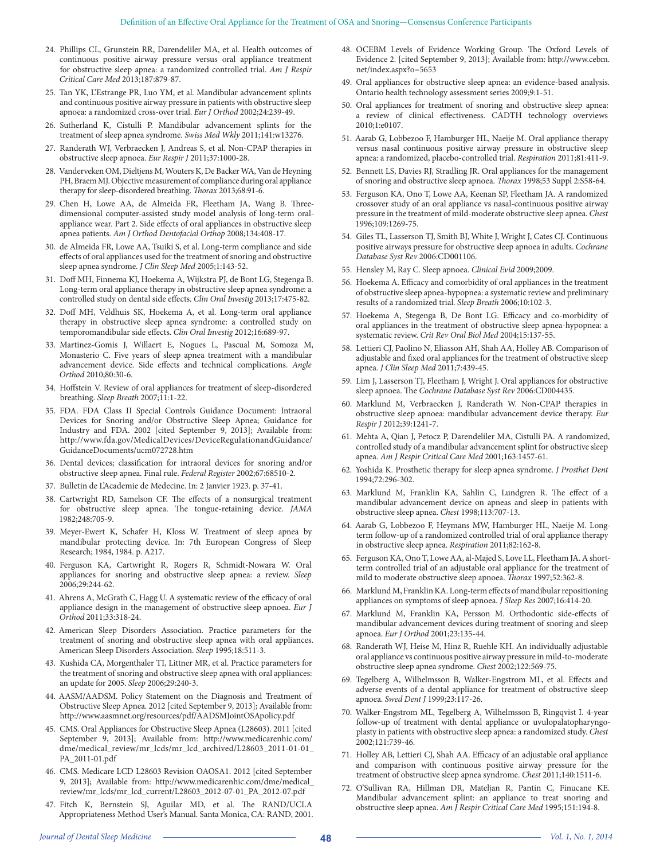- 24. Phillips CL, Grunstein RR, Darendeliler MA, et al. Health outcomes of continuous positive airway pressure versus oral appliance treatment for obstructive sleep apnea: a randomized controlled trial. *Am J Respir Critical Care Med* 2013;187:879-87.
- 25. Tan YK, L'Estrange PR, Luo YM, et al. Mandibular advancement splints and continuous positive airway pressure in patients with obstructive sleep apnoea: a randomized cross-over trial. *Eur J Orthod* 2002;24:239-49.
- 26. Sutherland K, Cistulli P. Mandibular advancement splints for the treatment of sleep apnea syndrome. *Swiss Med Wkly* 2011;141:w13276.
- 27. Randerath WJ, Verbraecken J, Andreas S, et al. Non-CPAP therapies in obstructive sleep apnoea. *Eur Respir J* 2011;37:1000-28.
- 28. Vanderveken OM, Dieltjens M, Wouters K, De Backer WA, Van de Heyning PH, Braem MJ. Objective measurement of compliance during oral appliance therapy for sleep-disordered breathing. *Thorax* 2013;68:91-6.
- 29. Chen H, Lowe AA, de Almeida FR, Fleetham JA, Wang B. Threedimensional computer-assisted study model analysis of long-term oralappliance wear. Part 2. Side effects of oral appliances in obstructive sleep apnea patients. *Am J Orthod Dentofacial Orthop* 2008;134:408-17.
- 30. de Almeida FR, Lowe AA, Tsuiki S, et al. Long-term compliance and side effects of oral appliances used for the treatment of snoring and obstructive sleep apnea syndrome. *J Clin Sleep Med* 2005;1:143-52.
- 31. Doff MH, Finnema KJ, Hoekema A, Wijkstra PJ, de Bont LG, Stegenga B. Long-term oral appliance therapy in obstructive sleep apnea syndrome: a controlled study on dental side effects. *Clin Oral Investig* 2013;17:475-82.
- 32. Doff MH, Veldhuis SK, Hoekema A, et al. Long-term oral appliance therapy in obstructive sleep apnea syndrome: a controlled study on temporomandibular side effects. *Clin Oral Investig* 2012;16:689-97.
- 33. Martinez-Gomis J, Willaert E, Nogues L, Pascual M, Somoza M, Monasterio C. Five years of sleep apnea treatment with a mandibular advancement device. Side effects and technical complications. *Angle Orthod* 2010;80:30-6.
- 34. Hoffstein V. Review of oral appliances for treatment of sleep-disordered breathing. *Sleep Breath* 2007;11:1-22.
- 35. FDA. FDA Class II Special Controls Guidance Document: Intraoral Devices for Snoring and/or Obstructive Sleep Apnea; Guidance for Industry and FDA. 2002 [cited September 9, 2013]; Available from: http://www.fda.gov/MedicalDevices/DeviceRegulationandGuidance/ GuidanceDocuments/ucm072728.htm
- 36. Dental devices; classification for intraoral devices for snoring and/or obstructive sleep apnea. Final rule. *Federal Register* 2002;67:68510-2.
- 37. Bulletin de L'Academie de Medecine. In: 2 Janvier 1923. p. 37-41.
- 38. Cartwright RD, Samelson CF. The effects of a nonsurgical treatment for obstructive sleep apnea. The tongue-retaining device. *JAMA* 1982;248:705-9.
- 39. Meyer-Ewert K, Schafer H, Kloss W. Treatment of sleep apnea by mandibular protecting device. In: 7th European Congress of Sleep Research; 1984, 1984. p. A217.
- 40. Ferguson KA, Cartwright R, Rogers R, Schmidt-Nowara W. Oral appliances for snoring and obstructive sleep apnea: a review. *Sleep* 2006;29:244-62.
- 41. Ahrens A, McGrath C, Hagg U. A systematic review of the efficacy of oral appliance design in the management of obstructive sleep apnoea. *Eur J Orthod* 2011;33:318-24.
- 42. American Sleep Disorders Association. Practice parameters for the treatment of snoring and obstructive sleep apnea with oral appliances. American Sleep Disorders Association. *Sleep* 1995;18:511-3.
- 43. Kushida CA, Morgenthaler TI, Littner MR, et al. Practice parameters for the treatment of snoring and obstructive sleep apnea with oral appliances: an update for 2005. *Sleep* 2006;29:240-3.
- 44. AASM/AADSM. Policy Statement on the Diagnosis and Treatment of Obstructive Sleep Apnea. 2012 [cited September 9, 2013]; Available from: http://www.aasmnet.org/resources/pdf/AADSMJointOSApolicy.pdf
- 45. CMS. Oral Appliances for Obstructive Sleep Apnea (L28603). 2011 [cited September 9, 2013]; Available from: http://www.medicarenhic.com/ dme/medical\_review/mr\_lcds/mr\_lcd\_archived/L28603\_2011-01-01\_ PA\_2011-01.pdf
- 46. CMS. Medicare LCD L28603 Revision OAOSA1. 2012 [cited September 9, 2013]; Available from: http://www.medicarenhic.com/dme/medical\_ review/mr\_lcds/mr\_lcd\_current/L28603\_2012-07-01\_PA\_2012-07.pdf
- 47. Fitch K, Bernstein SJ, Aguilar MD, et al. The RAND/UCLA Appropriateness Method User's Manual. Santa Monica, CA: RAND, 2001.
- 48. OCEBM Levels of Evidence Working Group. The Oxford Levels of Evidence 2. [cited September 9, 2013]; Available from: http://www.cebm. net/index.aspx?o=5653
- 49. Oral appliances for obstructive sleep apnea: an evidence-based analysis. Ontario health technology assessment series 2009;9:1-51.
- 50. Oral appliances for treatment of snoring and obstructive sleep apnea: a review of clinical effectiveness. CADTH technology overviews 2010;1:e0107.
- 51. Aarab G, Lobbezoo F, Hamburger HL, Naeije M. Oral appliance therapy versus nasal continuous positive airway pressure in obstructive sleep apnea: a randomized, placebo-controlled trial. *Respiration* 2011;81:411-9.
- 52. Bennett LS, Davies RJ, Stradling JR. Oral appliances for the management of snoring and obstructive sleep apnoea. *Thorax* 1998;53 Suppl 2:S58-64.
- 53. Ferguson KA, Ono T, Lowe AA, Keenan SP, Fleetham JA. A randomized crossover study of an oral appliance vs nasal-continuous positive airway pressure in the treatment of mild-moderate obstructive sleep apnea. *Chest* 1996;109:1269-75.
- 54. Giles TL, Lasserson TJ, Smith BJ, White J, Wright J, Cates CJ. Continuous positive airways pressure for obstructive sleep apnoea in adults. *Cochrane Database Syst Rev* 2006:CD001106.
- 55. Hensley M, Ray C. Sleep apnoea. *Clinical Evid* 2009;2009.
- 56. Hoekema A. Efficacy and comorbidity of oral appliances in the treatment of obstructive sleep apnea-hypopnea: a systematic review and preliminary results of a randomized trial. *Sleep Breath* 2006;10:102-3.
- 57. Hoekema A, Stegenga B, De Bont LG. Efficacy and co-morbidity of oral appliances in the treatment of obstructive sleep apnea-hypopnea: a systematic review. *Crit Rev Oral Biol Med* 2004;15:137-55.
- 58. Lettieri CJ, Paolino N, Eliasson AH, Shah AA, Holley AB. Comparison of adjustable and fixed oral appliances for the treatment of obstructive sleep apnea. *J Clin Sleep Med* 2011;7:439-45.
- 59. Lim J, Lasserson TJ, Fleetham J, Wright J. Oral appliances for obstructive sleep apnoea. The *Cochrane Database Syst Rev* 2006:CD004435.
- 60. Marklund M, Verbraecken J, Randerath W. Non-CPAP therapies in obstructive sleep apnoea: mandibular advancement device therapy. *Eur Respir J* 2012;39:1241-7.
- 61. Mehta A, Qian J, Petocz P, Darendeliler MA, Cistulli PA. A randomized, controlled study of a mandibular advancement splint for obstructive sleep apnea. *Am J Respir Critical Care Med* 2001;163:1457-61.
- 62. Yoshida K. Prosthetic therapy for sleep apnea syndrome. *J Prosthet Dent* 1994;72:296-302.
- 63. Marklund M, Franklin KA, Sahlin C, Lundgren R. The effect of a mandibular advancement device on apneas and sleep in patients with obstructive sleep apnea. *Chest* 1998;113:707-13.
- 64. Aarab G, Lobbezoo F, Heymans MW, Hamburger HL, Naeije M. Longterm follow-up of a randomized controlled trial of oral appliance therapy in obstructive sleep apnea. *Respiration* 2011;82:162-8.
- 65. Ferguson KA, Ono T, Lowe AA, al-Majed S, Love LL, Fleetham JA. A shortterm controlled trial of an adjustable oral appliance for the treatment of mild to moderate obstructive sleep apnoea. *Thorax* 1997;52:362-8.
- 66. Marklund M, Franklin KA. Long-term effects of mandibular repositioning appliances on symptoms of sleep apnoea. *J Sleep Res* 2007;16:414-20.
- 67. Marklund M, Franklin KA, Persson M. Orthodontic side-effects of mandibular advancement devices during treatment of snoring and sleep apnoea. *Eur J Orthod* 2001;23:135-44.
- 68. Randerath WJ, Heise M, Hinz R, Ruehle KH. An individually adjustable oral appliance vs continuous positive airway pressure in mild-to-moderate obstructive sleep apnea syndrome. *Chest* 2002;122:569-75.
- 69. Tegelberg A, Wilhelmsson B, Walker-Engstrom ML, et al. Effects and adverse events of a dental appliance for treatment of obstructive sleep apnoea. *Swed Dent J* 1999;23:117-26.
- 70. Walker-Engstrom ML, Tegelberg A, Wilhelmsson B, Ringqvist I. 4-year follow-up of treatment with dental appliance or uvulopalatopharyngoplasty in patients with obstructive sleep apnea: a randomized study. *Chest* 2002;121:739-46.
- 71. Holley AB, Lettieri CJ, Shah AA. Efficacy of an adjustable oral appliance and comparison with continuous positive airway pressure for the treatment of obstructive sleep apnea syndrome. *Chest* 2011;140:1511-6.
- 72. O'Sullivan RA, Hillman DR, Mateljan R, Pantin C, Finucane KE. Mandibular advancement splint: an appliance to treat snoring and obstructive sleep apnea. *Am J Respir Critical Care Med* 1995;151:194-8.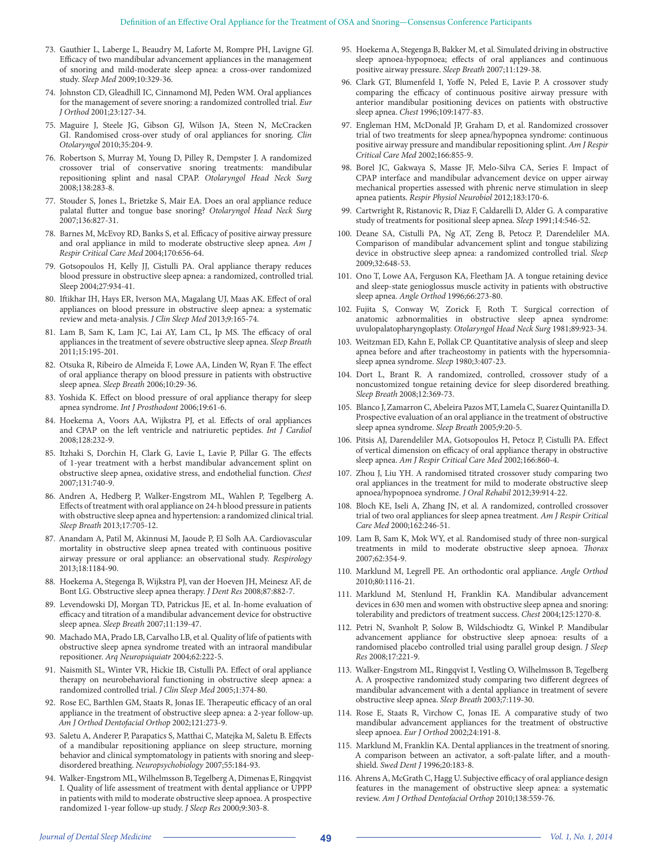- 73. Gauthier L, Laberge L, Beaudry M, Laforte M, Rompre PH, Lavigne GJ. Efficacy of two mandibular advancement appliances in the management of snoring and mild-moderate sleep apnea: a cross-over randomized study. *Sleep Med* 2009;10:329-36.
- 74. Johnston CD, Gleadhill IC, Cinnamond MJ, Peden WM. Oral appliances for the management of severe snoring: a randomized controlled trial. *Eur J Orthod* 2001;23:127-34.
- 75. Maguire J, Steele JG, Gibson GJ, Wilson JA, Steen N, McCracken GI. Randomised cross-over study of oral appliances for snoring. *Clin Otolaryngol* 2010;35:204-9.
- 76. Robertson S, Murray M, Young D, Pilley R, Dempster J. A randomized crossover trial of conservative snoring treatments: mandibular repositioning splint and nasal CPAP. *Otolaryngol Head Neck Surg* 2008;138:283-8.
- 77. Stouder S, Jones L, Brietzke S, Mair EA. Does an oral appliance reduce palatal flutter and tongue base snoring? *Otolaryngol Head Neck Surg* 2007;136:827-31.
- 78. Barnes M, McEvoy RD, Banks S, et al. Efficacy of positive airway pressure and oral appliance in mild to moderate obstructive sleep apnea. *Am J Respir Critical Care Med* 2004;170:656-64.
- 79. Gotsopoulos H, Kelly JJ, Cistulli PA. Oral appliance therapy reduces blood pressure in obstructive sleep apnea: a randomized, controlled trial. Sleep 2004;27:934-41.
- 80. Iftikhar IH, Hays ER, Iverson MA, Magalang UJ, Maas AK. Effect of oral appliances on blood pressure in obstructive sleep apnea: a systematic review and meta-analysis. *J Clin Sleep Med* 2013;9:165-74.
- 81. Lam B, Sam K, Lam JC, Lai AY, Lam CL, Ip MS. The efficacy of oral appliances in the treatment of severe obstructive sleep apnea. *Sleep Breath* 2011;15:195-201.
- 82. Otsuka R, Ribeiro de Almeida F, Lowe AA, Linden W, Ryan F. The effect of oral appliance therapy on blood pressure in patients with obstructive sleep apnea. *Sleep Breath* 2006;10:29-36.
- 83. Yoshida K. Effect on blood pressure of oral appliance therapy for sleep apnea syndrome. *Int J Prosthodont* 2006;19:61-6.
- 84. Hoekema A, Voors AA, Wijkstra PJ, et al. Effects of oral appliances and CPAP on the left ventricle and natriuretic peptides. *Int J Cardiol* 2008;128:232-9.
- 85. Itzhaki S, Dorchin H, Clark G, Lavie L, Lavie P, Pillar G. The effects of 1-year treatment with a herbst mandibular advancement splint on obstructive sleep apnea, oxidative stress, and endothelial function. *Chest* 2007;131:740-9.
- 86. Andren A, Hedberg P, Walker-Engstrom ML, Wahlen P, Tegelberg A. Effects of treatment with oral appliance on 24-h blood pressure in patients with obstructive sleep apnea and hypertension: a randomized clinical trial. *Sleep Breath* 2013;17:705-12.
- 87. Anandam A, Patil M, Akinnusi M, Jaoude P, El Solh AA. Cardiovascular mortality in obstructive sleep apnea treated with continuous positive airway pressure or oral appliance: an observational study. *Respirology*  2013;18:1184-90.
- 88. Hoekema A, Stegenga B, Wijkstra PJ, van der Hoeven JH, Meinesz AF, de Bont LG. Obstructive sleep apnea therapy. *J Dent Res* 2008;87:882-7.
- 89. Levendowski DJ, Morgan TD, Patrickus JE, et al. In-home evaluation of efficacy and titration of a mandibular advancement device for obstructive sleep apnea. *Sleep Breath* 2007;11:139-47.
- 90. Machado MA, Prado LB, Carvalho LB, et al. Quality of life of patients with obstructive sleep apnea syndrome treated with an intraoral mandibular repositioner. *Arq Neuropsiquiatr* 2004;62:222-5.
- 91. Naismith SL, Winter VR, Hickie IB, Cistulli PA. Effect of oral appliance therapy on neurobehavioral functioning in obstructive sleep apnea: a randomized controlled trial. *J Clin Sleep Med* 2005;1:374-80.
- 92. Rose EC, Barthlen GM, Staats R, Jonas IE. Therapeutic efficacy of an oral appliance in the treatment of obstructive sleep apnea: a 2-year follow-up. *Am J Orthod Dentofacial Orthop* 2002;121:273-9.
- 93. Saletu A, Anderer P, Parapatics S, Matthai C, Matejka M, Saletu B. Effects of a mandibular repositioning appliance on sleep structure, morning behavior and clinical symptomatology in patients with snoring and sleepdisordered breathing. *Neuropsychobiology* 2007;55:184-93.
- 94. Walker-Engstrom ML, Wilhelmsson B, Tegelberg A, Dimenas E, Ringqvist I. Quality of life assessment of treatment with dental appliance or UPPP in patients with mild to moderate obstructive sleep apnoea. A prospective randomized 1-year follow-up study. *J Sleep Res* 2000;9:303-8.
- 95. Hoekema A, Stegenga B, Bakker M, et al. Simulated driving in obstructive sleep apnoea-hypopnoea; effects of oral appliances and continuous positive airway pressure. *Sleep Breath* 2007;11:129-38.
- 96. Clark GT, Blumenfeld I, Yoffe N, Peled E, Lavie P. A crossover study comparing the efficacy of continuous positive airway pressure with anterior mandibular positioning devices on patients with obstructive sleep apnea. *Chest* 1996;109:1477-83.
- 97. Engleman HM, McDonald JP, Graham D, et al. Randomized crossover trial of two treatments for sleep apnea/hypopnea syndrome: continuous positive airway pressure and mandibular repositioning splint. *Am J Respir Critical Care Med* 2002;166:855-9.
- 98. Borel JC, Gakwaya S, Masse JF, Melo-Silva CA, Series F. Impact of CPAP interface and mandibular advancement device on upper airway mechanical properties assessed with phrenic nerve stimulation in sleep apnea patients. *Respir Physiol Neurobiol* 2012;183:170-6.
- 99. Cartwright R, Ristanovic R, Diaz F, Caldarelli D, Alder G. A comparative study of treatments for positional sleep apnea. *Sleep* 1991;14:546-52.
- 100. Deane SA, Cistulli PA, Ng AT, Zeng B, Petocz P, Darendeliler MA. Comparison of mandibular advancement splint and tongue stabilizing device in obstructive sleep apnea: a randomized controlled trial. *Sleep* 2009;32:648-53.
- 101. Ono T, Lowe AA, Ferguson KA, Fleetham JA. A tongue retaining device and sleep-state genioglossus muscle activity in patients with obstructive sleep apnea. *Angle Orthod* 1996;66:273-80.
- 102. Fujita S, Conway W, Zorick F, Roth T. Surgical correction of anatomic azbnormalities in obstructive sleep apnea syndrome: uvulopalatopharyngoplasty. *Otolaryngol Head Neck Surg* 1981;89:923-34.
- 103. Weitzman ED, Kahn E, Pollak CP. Quantitative analysis of sleep and sleep apnea before and after tracheostomy in patients with the hypersomniasleep apnea syndrome. *Sleep* 1980;3:407-23.
- 104. Dort L, Brant R. A randomized, controlled, crossover study of a noncustomized tongue retaining device for sleep disordered breathing. *Sleep Breath* 2008;12:369-73.
- 105. Blanco J, Zamarron C, Abeleira Pazos MT, Lamela C, Suarez Quintanilla D. Prospective evaluation of an oral appliance in the treatment of obstructive sleep apnea syndrome. *Sleep Breath* 2005;9:20-5.
- 106. Pitsis AJ, Darendeliler MA, Gotsopoulos H, Petocz P, Cistulli PA. Effect of vertical dimension on efficacy of oral appliance therapy in obstructive sleep apnea. *Am J Respir Critical Care Med* 2002;166:860-4.
- 107. Zhou J, Liu YH. A randomised titrated crossover study comparing two oral appliances in the treatment for mild to moderate obstructive sleep apnoea/hypopnoea syndrome. *J Oral Rehabil* 2012;39:914-22.
- 108. Bloch KE, Iseli A, Zhang JN, et al. A randomized, controlled crossover trial of two oral appliances for sleep apnea treatment. *Am J Respir Critical Care Med* 2000;162:246-51.
- 109. Lam B, Sam K, Mok WY, et al. Randomised study of three non-surgical treatments in mild to moderate obstructive sleep apnoea. *Thorax* 2007;62:354-9.
- 110. Marklund M, Legrell PE. An orthodontic oral appliance. *Angle Orthod* 2010;80:1116-21.
- 111. Marklund M, Stenlund H, Franklin KA. Mandibular advancement devices in 630 men and women with obstructive sleep apnea and snoring: tolerability and predictors of treatment success. *Chest* 2004;125:1270-8.
- 112. Petri N, Svanholt P, Solow B, Wildschiodtz G, Winkel P. Mandibular advancement appliance for obstructive sleep apnoea: results of a randomised placebo controlled trial using parallel group design. *J Sleep Res* 2008;17:221-9.
- 113. Walker-Engstrom ML, Ringqvist I, Vestling O, Wilhelmsson B, Tegelberg A. A prospective randomized study comparing two different degrees of mandibular advancement with a dental appliance in treatment of severe obstructive sleep apnea. *Sleep Breath* 2003;7:119-30.
- 114. Rose E, Staats R, Virchow C, Jonas IE. A comparative study of two mandibular advancement appliances for the treatment of obstructive sleep apnoea. *Eur J Orthod* 2002;24:191-8.
- 115. Marklund M, Franklin KA. Dental appliances in the treatment of snoring. A comparison between an activator, a soft-palate lifter, and a mouthshield. *Swed Dent J* 1996;20:183-8.
- 116. Ahrens A, McGrath C, Hagg U. Subjective efficacy of oral appliance design features in the management of obstructive sleep apnea: a systematic review. *Am J Orthod Dentofacial Orthop* 2010;138:559-76.